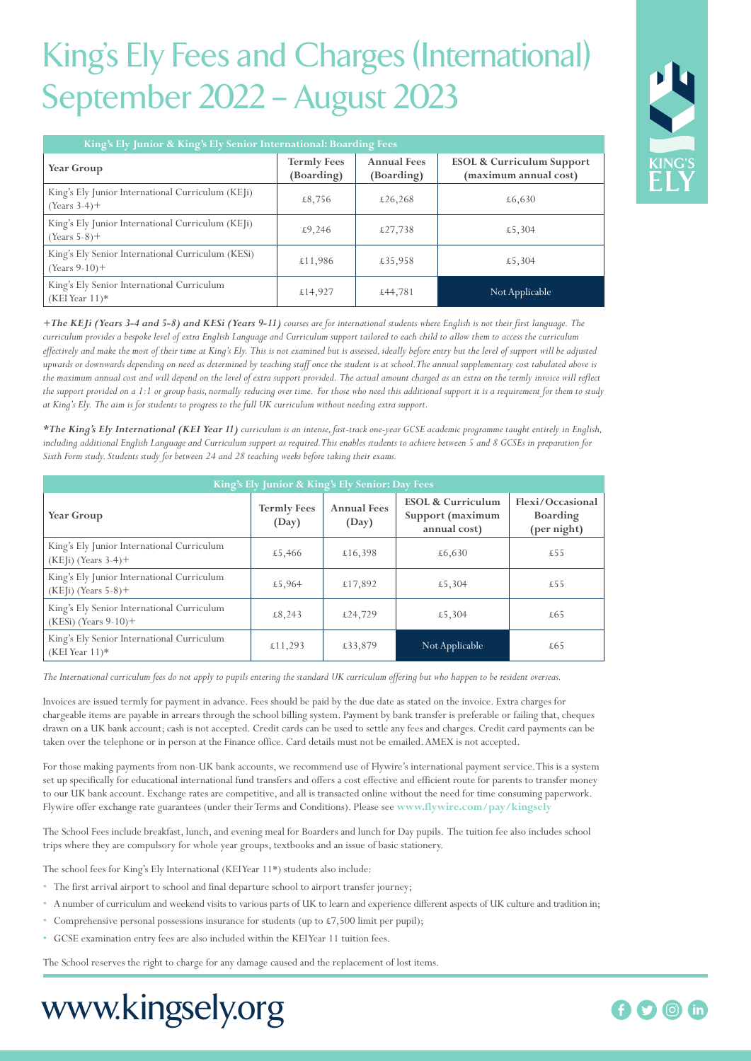## King's Ely Fees and Charges (International) September 2022 – August 2023

| King's Ely Junior & King's Ely Senior International: Boarding Fees    |                                  |                                  |                                                               |  |  |
|-----------------------------------------------------------------------|----------------------------------|----------------------------------|---------------------------------------------------------------|--|--|
| Year Group                                                            | <b>Termly Fees</b><br>(Boarding) | <b>Annual Fees</b><br>(Boarding) | <b>ESOL &amp; Curriculum Support</b><br>(maximum annual cost) |  |  |
| King's Ely Junior International Curriculum (KEJi)<br>$(Years 3-4)$ +  | £8,756                           | £26,268                          | £6,630                                                        |  |  |
| King's Ely Junior International Curriculum (KEJi)<br>$(Years 5-8)$ +  | £9,246                           | £27,738                          | £5,304                                                        |  |  |
| King's Ely Senior International Curriculum (KESi)<br>$(Years 9-10)$ + | £11,986                          | £35,958                          | £5,304                                                        |  |  |
| King's Ely Senior International Curriculum<br>$(KEI$ Year $11)*$      | £14,927                          | £44,781                          | Not Applicable                                                |  |  |

*+The KEJi (Years 3-4 and 5-8) and KESi (Years 9-11) courses are for international students where English is not their first language. The curriculum provides a bespoke level of extra English Language and Curriculum support tailored to each child to allow them to access the curriculum effectively and make the most of their time at King's Ely. This is not examined but is assessed, ideally before entry but the level of support will be adjusted upwards or downwards depending on need as determined by teaching staff once the student is at school. The annual supplementary cost tabulated above is the maximum annual cost and will depend on the level of extra support provided. The actual amount charged as an extra on the termly invoice will reflect the support provided on a 1:1 or group basis, normally reducing over time. For those who need this additional support it is a requirement for them to study at King's Ely. The aim is for students to progress to the full UK curriculum without needing extra support.* 

*\*The King's Ely International (KEI Year 11) curriculum is an intense, fast-track one-year GCSE academic programme taught entirely in English, including additional English Language and Curriculum support as required. This enables students to achieve between 5 and 8 GCSEs in preparation for Sixth Form study. Students study for between 24 and 28 teaching weeks before taking their exams.*

| King's Ely Junior & King's Ely Senior: Day Fees                         |                             |                             |                                                                  |                                                    |  |  |
|-------------------------------------------------------------------------|-----------------------------|-----------------------------|------------------------------------------------------------------|----------------------------------------------------|--|--|
| Year Group                                                              | <b>Termly Fees</b><br>(Day) | <b>Annual Fees</b><br>(Day) | <b>ESOL &amp; Curriculum</b><br>Support (maximum<br>annual cost) | Flexi/Occasional<br><b>Boarding</b><br>(per night) |  |  |
| King's Ely Junior International Curriculum<br>$(KE[i)$ (Years 3-4)+     | £5,466                      | £16,398                     | £6,630                                                           | £55                                                |  |  |
| King's Ely Junior International Curriculum<br>$(KE[i)$ (Years $5-8$ )+  | £5,964                      | £17,892                     | £5,304                                                           | £55                                                |  |  |
| King's Ely Senior International Curriculum<br>$(KESi)$ (Years $9-10$ )+ | £8,243                      | £24,729                     | £5,304                                                           | £65                                                |  |  |
| King's Ely Senior International Curriculum<br>$(KEI$ Year $11)*$        | £11,293                     | £33,879                     | Not Applicable                                                   | £65                                                |  |  |

*The International curriculum fees do not apply to pupils entering the standard UK curriculum offering but who happen to be resident overseas.*

Invoices are issued termly for payment in advance. Fees should be paid by the due date as stated on the invoice. Extra charges for chargeable items are payable in arrears through the school billing system. Payment by bank transfer is preferable or failing that, cheques drawn on a UK bank account; cash is not accepted. Credit cards can be used to settle any fees and charges. Credit card payments can be taken over the telephone or in person at the Finance office. Card details must not be emailed. AMEX is not accepted.

For those making payments from non-UK bank accounts, we recommend use of Flywire's international payment service. This is a system set up specifically for educational international fund transfers and offers a cost effective and efficient route for parents to transfer money to our UK bank account. Exchange rates are competitive, and all is transacted online without the need for time consuming paperwork. Flywire offer exchange rate guarantees (under their Terms and Conditions). Please see **www.flywire.com/pay/kingsely**

The School Fees include breakfast, lunch, and evening meal for Boarders and lunch for Day pupils. The tuition fee also includes school trips where they are compulsory for whole year groups, textbooks and an issue of basic stationery.

The school fees for King's Ely International (KEI Year 11\*) students also include:

- The first arrival airport to school and final departure school to airport transfer journey;
- A number of curriculum and weekend visits to various parts of UK to learn and experience different aspects of UK culture and tradition in;
- Comprehensive personal possessions insurance for students (up to £7,500 limit per pupil);
- GCSE examination entry fees are also included within the KEI Year 11 tuition fees.

The School reserves the right to charge for any damage caused and the replacement of lost items.

# www.kingsely.org